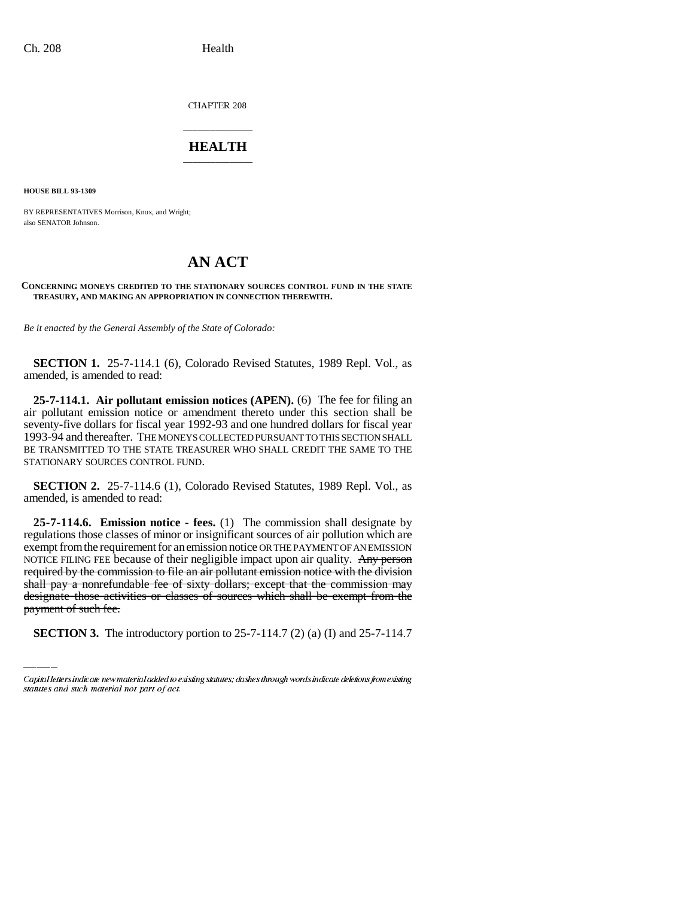CHAPTER 208

## \_\_\_\_\_\_\_\_\_\_\_\_\_\_\_ **HEALTH** \_\_\_\_\_\_\_\_\_\_\_\_\_\_\_

**HOUSE BILL 93-1309**

BY REPRESENTATIVES Morrison, Knox, and Wright; also SENATOR Johnson.

## **AN ACT**

## **CONCERNING MONEYS CREDITED TO THE STATIONARY SOURCES CONTROL FUND IN THE STATE TREASURY, AND MAKING AN APPROPRIATION IN CONNECTION THEREWITH.**

*Be it enacted by the General Assembly of the State of Colorado:*

**SECTION 1.** 25-7-114.1 (6), Colorado Revised Statutes, 1989 Repl. Vol., as amended, is amended to read:

**25-7-114.1. Air pollutant emission notices (APEN).** (6) The fee for filing an air pollutant emission notice or amendment thereto under this section shall be seventy-five dollars for fiscal year 1992-93 and one hundred dollars for fiscal year 1993-94 and thereafter. THE MONEYS COLLECTED PURSUANT TO THIS SECTION SHALL BE TRANSMITTED TO THE STATE TREASURER WHO SHALL CREDIT THE SAME TO THE STATIONARY SOURCES CONTROL FUND.

**SECTION 2.** 25-7-114.6 (1), Colorado Revised Statutes, 1989 Repl. Vol., as amended, is amended to read:

shall pay a nonrefundable fee of sixty dollars; except that the commission may **25-7-114.6. Emission notice - fees.** (1) The commission shall designate by regulations those classes of minor or insignificant sources of air pollution which are exempt from the requirement for an emission notice OR THE PAYMENT OF AN EMISSION NOTICE FILING FEE because of their negligible impact upon air quality. Any person required by the commission to file an air pollutant emission notice with the division designate those activities or classes of sources which shall be exempt from the payment of such fee.

**SECTION 3.** The introductory portion to 25-7-114.7 (2) (a) (I) and 25-7-114.7

Capital letters indicate new material added to existing statutes; dashes through words indicate deletions from existing statutes and such material not part of act.